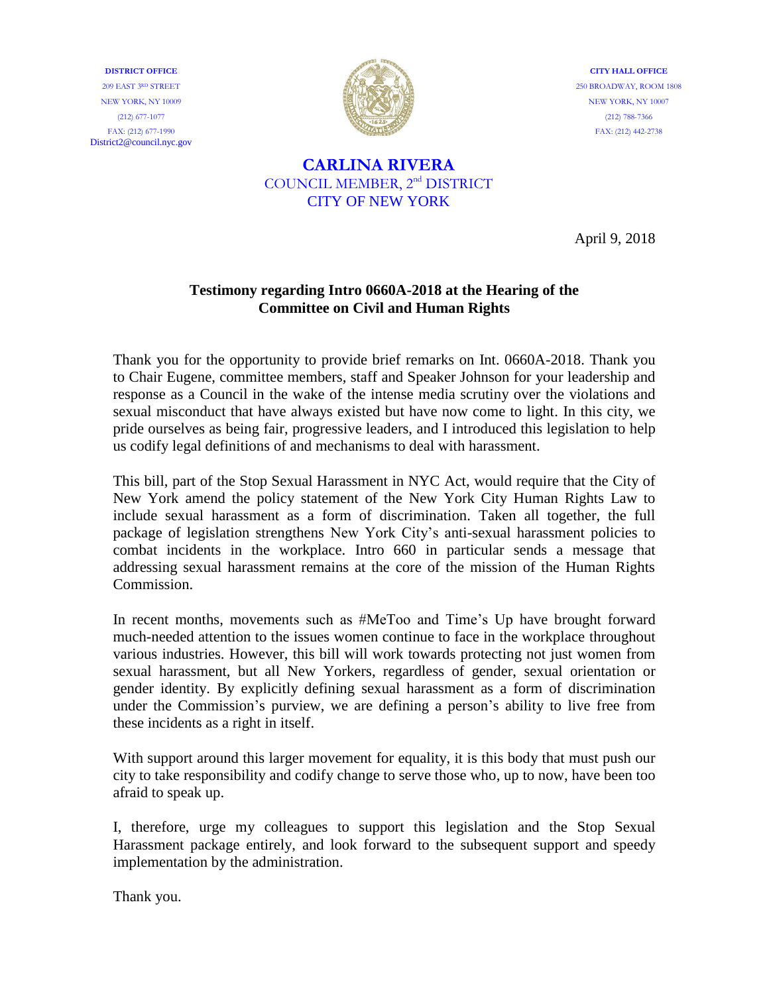**DISTRICT OFFICE** 209 EAST 3RD STREET NEW YORK, NY 10009 (212) 677-1077 FAX: (212) 677-1990 District2@council.nyc.gov



**CITY HALL OFFICE** 250 BROADWAY, ROOM 1808 NEW YORK, NY 10007 (212) 788-7366 FAX: (212) 442-2738

## **CARLINA RIVERA** COUNCIL MEMBER, 2nd DISTRICT CITY OF NEW YORK

April 9, 2018

## **Testimony regarding Intro 0660A-2018 at the Hearing of the Committee on Civil and Human Rights**

Thank you for the opportunity to provide brief remarks on Int. 0660A-2018. Thank you to Chair Eugene, committee members, staff and Speaker Johnson for your leadership and response as a Council in the wake of the intense media scrutiny over the violations and sexual misconduct that have always existed but have now come to light. In this city, we pride ourselves as being fair, progressive leaders, and I introduced this legislation to help us codify legal definitions of and mechanisms to deal with harassment.

This bill, part of the Stop Sexual Harassment in NYC Act, would require that the City of New York amend the policy statement of the New York City Human Rights Law to include sexual harassment as a form of discrimination. Taken all together, the full package of legislation strengthens New York City's anti-sexual harassment policies to combat incidents in the workplace. Intro 660 in particular sends a message that addressing sexual harassment remains at the core of the mission of the Human Rights Commission.

In recent months, movements such as #MeToo and Time's Up have brought forward much-needed attention to the issues women continue to face in the workplace throughout various industries. However, this bill will work towards protecting not just women from sexual harassment, but all New Yorkers, regardless of gender, sexual orientation or gender identity. By explicitly defining sexual harassment as a form of discrimination under the Commission's purview, we are defining a person's ability to live free from these incidents as a right in itself.

With support around this larger movement for equality, it is this body that must push our city to take responsibility and codify change to serve those who, up to now, have been too afraid to speak up.

I, therefore, urge my colleagues to support this legislation and the Stop Sexual Harassment package entirely, and look forward to the subsequent support and speedy implementation by the administration.

Thank you.